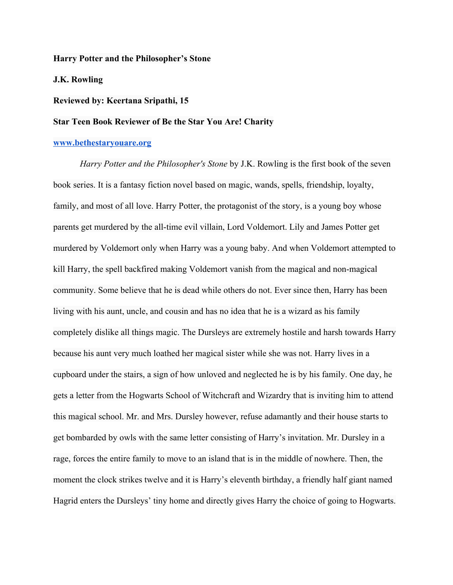### **Harry Potter and the Philosopher's Stone**

### **J.K. Rowling**

## **Reviewed by: Keertana Sripathi, 15**

# **Star Teen Book Reviewer of Be the Star You Are! Charity**

#### **[www.bethestaryouare.org](http://www.bethestaryouare.org/)**

*Harry Potter and the Philosopher's Stone* by J.K. Rowling is the first book of the seven book series. It is a fantasy fiction novel based on magic, wands, spells, friendship, loyalty, family, and most of all love. Harry Potter, the protagonist of the story, is a young boy whose parents get murdered by the all-time evil villain, Lord Voldemort. Lily and James Potter get murdered by Voldemort only when Harry was a young baby. And when Voldemort attempted to kill Harry, the spell backfired making Voldemort vanish from the magical and non-magical community. Some believe that he is dead while others do not. Ever since then, Harry has been living with his aunt, uncle, and cousin and has no idea that he is a wizard as his family completely dislike all things magic. The Dursleys are extremely hostile and harsh towards Harry because his aunt very much loathed her magical sister while she was not. Harry lives in a cupboard under the stairs, a sign of how unloved and neglected he is by his family. One day, he gets a letter from the Hogwarts School of Witchcraft and Wizardry that is inviting him to attend this magical school. Mr. and Mrs. Dursley however, refuse adamantly and their house starts to get bombarded by owls with the same letter consisting of Harry's invitation. Mr. Dursley in a rage, forces the entire family to move to an island that is in the middle of nowhere. Then, the moment the clock strikes twelve and it is Harry's eleventh birthday, a friendly half giant named Hagrid enters the Dursleys' tiny home and directly gives Harry the choice of going to Hogwarts.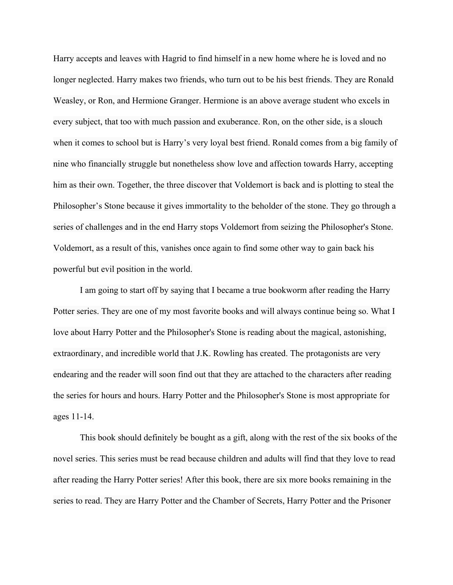Harry accepts and leaves with Hagrid to find himself in a new home where he is loved and no longer neglected. Harry makes two friends, who turn out to be his best friends. They are Ronald Weasley, or Ron, and Hermione Granger. Hermione is an above average student who excels in every subject, that too with much passion and exuberance. Ron, on the other side, is a slouch when it comes to school but is Harry's very loyal best friend. Ronald comes from a big family of nine who financially struggle but nonetheless show love and affection towards Harry, accepting him as their own. Together, the three discover that Voldemort is back and is plotting to steal the Philosopher's Stone because it gives immortality to the beholder of the stone. They go through a series of challenges and in the end Harry stops Voldemort from seizing the Philosopher's Stone. Voldemort, as a result of this, vanishes once again to find some other way to gain back his powerful but evil position in the world.

I am going to start off by saying that I became a true bookworm after reading the Harry Potter series. They are one of my most favorite books and will always continue being so. What I love about Harry Potter and the Philosopher's Stone is reading about the magical, astonishing, extraordinary, and incredible world that J.K. Rowling has created. The protagonists are very endearing and the reader will soon find out that they are attached to the characters after reading the series for hours and hours. Harry Potter and the Philosopher's Stone is most appropriate for ages 11-14.

This book should definitely be bought as a gift, along with the rest of the six books of the novel series. This series must be read because children and adults will find that they love to read after reading the Harry Potter series! After this book, there are six more books remaining in the series to read. They are Harry Potter and the Chamber of Secrets, Harry Potter and the Prisoner